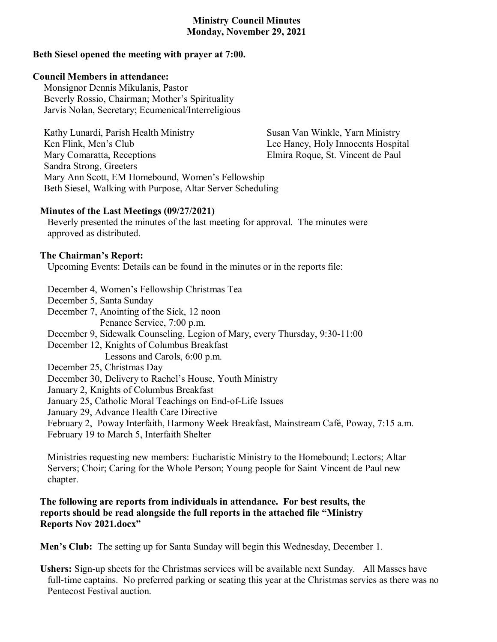# **Ministry Council Minutes Monday, November 29, 2021**

### **Beth Siesel opened the meeting with prayer at 7:00.**

#### **Council Members in attendance:**

Monsignor Dennis Mikulanis, Pastor Beverly Rossio, Chairman; Mother's Spirituality Jarvis Nolan, Secretary; Ecumenical/Interreligious

| Kathy Lunardi, Parish Health Ministry                      | Susan Van Winkle, Yarn Ministry    |
|------------------------------------------------------------|------------------------------------|
| Ken Flink, Men's Club                                      | Lee Haney, Holy Innocents Hospital |
| Mary Comaratta, Receptions                                 | Elmira Roque, St. Vincent de Paul  |
| Sandra Strong, Greeters                                    |                                    |
| Mary Ann Scott, EM Homebound, Women's Fellowship           |                                    |
| Beth Siesel, Walking with Purpose, Altar Server Scheduling |                                    |

## **Minutes of the Last Meetings (09/27/2021)**

Beverly presented the minutes of the last meeting for approval. The minutes were approved as distributed.

## **The Chairman's Report:**

Upcoming Events: Details can be found in the minutes or in the reports file:

December 4, Women's Fellowship Christmas Tea December 5, Santa Sunday December 7, Anointing of the Sick, 12 noon Penance Service, 7:00 p.m. December 9, Sidewalk Counseling, Legion of Mary, every Thursday, 9:30-11:00 December 12, Knights of Columbus Breakfast Lessons and Carols, 6:00 p.m. December 25, Christmas Day December 30, Delivery to Rachel's House, Youth Ministry January 2, Knights of Columbus Breakfast January 25, Catholic Moral Teachings on End-of-Life Issues January 29, Advance Health Care Directive February 2, Poway Interfaith, Harmony Week Breakfast, Mainstream Café, Poway, 7:15 a.m. February 19 to March 5, Interfaith Shelter

Ministries requesting new members: Eucharistic Ministry to the Homebound; Lectors; Altar Servers; Choir; Caring for the Whole Person; Young people for Saint Vincent de Paul new chapter.

## **The following are reports from individuals in attendance. For best results, the reports should be read alongside the full reports in the attached file "Ministry Reports Nov 2021.docx"**

**Men's Club:** The setting up for Santa Sunday will begin this Wednesday, December 1.

**Ushers:** Sign-up sheets for the Christmas services will be available next Sunday. All Masses have full-time captains. No preferred parking or seating this year at the Christmas servies as there was no Pentecost Festival auction.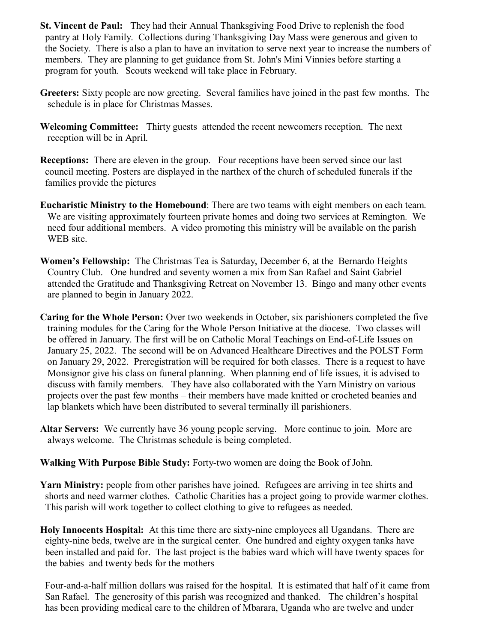- **St. Vincent de Paul:** They had their Annual Thanksgiving Food Drive to replenish the food pantry at Holy Family. Collections during Thanksgiving Day Mass were generous and given to the Society. There is also a plan to have an invitation to serve next year to increase the numbers of members. They are planning to get guidance from St. John's Mini Vinnies before starting a program for youth. Scouts weekend will take place in February.
- **Greeters:** Sixty people are now greeting. Several families have joined in the past few months. The schedule is in place for Christmas Masses.
- **Welcoming Committee:** Thirty guests attended the recent newcomers reception. The next reception will be in April.
- **Receptions:** There are eleven in the group. Four receptions have been served since our last council meeting. Posters are displayed in the narthex of the church of scheduled funerals if the families provide the pictures
- **Eucharistic Ministry to the Homebound**: There are two teams with eight members on each team. We are visiting approximately fourteen private homes and doing two services at Remington. We need four additional members. A video promoting this ministry will be available on the parish WEB site.
- **Women's Fellowship:** The Christmas Tea is Saturday, December 6, at the Bernardo Heights Country Club. One hundred and seventy women a mix from San Rafael and Saint Gabriel attended the Gratitude and Thanksgiving Retreat on November 13. Bingo and many other events are planned to begin in January 2022.
- **Caring for the Whole Person:** Over two weekends in October, six parishioners completed the five training modules for the Caring for the Whole Person Initiative at the diocese. Two classes will be offered in January. The first will be on Catholic Moral Teachings on End-of-Life Issues on January 25, 2022. The second will be on Advanced Healthcare Directives and the POLST Form on January 29, 2022. Preregistration will be required for both classes. There is a request to have Monsignor give his class on funeral planning. When planning end of life issues, it is advised to discuss with family members. They have also collaborated with the Yarn Ministry on various projects over the past few months – their members have made knitted or crocheted beanies and lap blankets which have been distributed to several terminally ill parishioners.
- **Altar Servers:** We currently have 36 young people serving. More continue to join. More are always welcome. The Christmas schedule is being completed.
- **Walking With Purpose Bible Study:** Forty-two women are doing the Book of John.
- **Yarn Ministry:** people from other parishes have joined. Refugees are arriving in tee shirts and shorts and need warmer clothes. Catholic Charities has a project going to provide warmer clothes. This parish will work together to collect clothing to give to refugees as needed.
- **Holy Innocents Hospital:** At this time there are sixty-nine employees all Ugandans. There are eighty-nine beds, twelve are in the surgical center. One hundred and eighty oxygen tanks have been installed and paid for. The last project is the babies ward which will have twenty spaces for the babies and twenty beds for the mothers

 Four-and-a-half million dollars was raised for the hospital. It is estimated that half of it came from San Rafael. The generosity of this parish was recognized and thanked. The children's hospital has been providing medical care to the children of Mbarara, Uganda who are twelve and under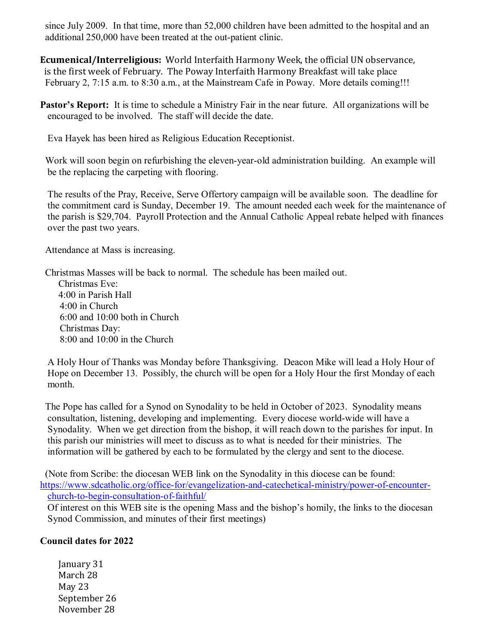since July 2009. In that time, more than 52,000 children have been admitted to the hospital and an additional 250,000 have been treated at the out-patient clinic.

**Ecumenical/Interreligious:** World Interfaith Harmony Week, the official UN observance, is the first week of February. The Poway Interfaith Harmony Breakfast will take place February 2, 7:15 a.m. to 8:30 a.m., at the Mainstream Cafe in Poway. More details coming!!!

**Pastor's Report:** It is time to schedule a Ministry Fair in the near future. All organizations will be encouraged to be involved. The staff will decide the date.

Eva Hayek has been hired as Religious Education Receptionist.

 Work will soon begin on refurbishing the eleven-year-old administration building. An example will be the replacing the carpeting with flooring.

 The results of the Pray, Receive, Serve Offertory campaign will be available soon. The deadline for the commitment card is Sunday, December 19. The amount needed each week for the maintenance of the parish is \$29,704. Payroll Protection and the Annual Catholic Appeal rebate helped with finances over the past two years.

Attendance at Mass is increasing.

Christmas Masses will be back to normal. The schedule has been mailed out.

Christmas Eve: 4:00 in Parish Hall 4:00 in Church 6:00 and 10:00 both in Church Christmas Day: 8:00 and 10:00 in the Church

 A Holy Hour of Thanks was Monday before Thanksgiving. Deacon Mike will lead a Holy Hour of Hope on December 13. Possibly, the church will be open for a Holy Hour the first Monday of each month.

 The Pope has called for a Synod on Synodality to be held in October of 2023. Synodality means consultation, listening, developing and implementing. Every diocese world-wide will have a Synodality. When we get direction from the bishop, it will reach down to the parishes for input. In this parish our ministries will meet to discuss as to what is needed for their ministries. The information will be gathered by each to be formulated by the clergy and sent to the diocese.

 (Note from Scribe: the diocesan WEB link on the Synodality in this diocese can be found: [https://www.sdcatholic.org/office-for/evangelization-and-catechetical-ministry/power-of-encounter](https://www.sdcatholic.org/office-for/evangelization-and-catechetical-ministry/power-of-encounter-church-to-begin-consultation-of-faithful/)[church-to-begin-consultation-of-faithful/](https://www.sdcatholic.org/office-for/evangelization-and-catechetical-ministry/power-of-encounter-church-to-begin-consultation-of-faithful/)

 Of interest on this WEB site is the opening Mass and the bishop's homily, the links to the diocesan Synod Commission, and minutes of their first meetings)

# **Council dates for 2022**

January 31 March 28 May 23 September 26 November 28